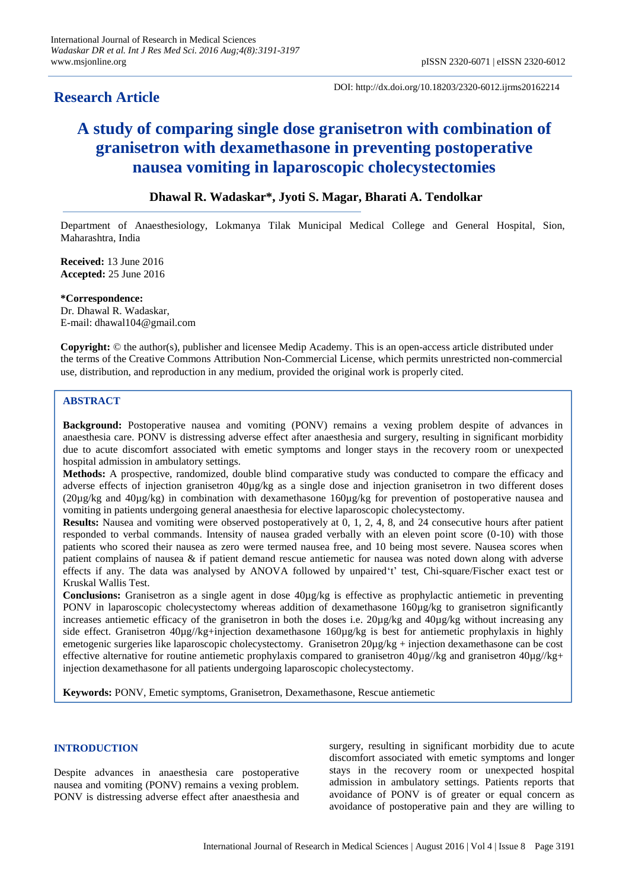# **Research Article**

DOI: http://dx.doi.org/10.18203/2320-6012.ijrms20162214

# **A study of comparing single dose granisetron with combination of granisetron with dexamethasone in preventing postoperative nausea vomiting in laparoscopic cholecystectomies**

# **Dhawal R. Wadaskar\*, Jyoti S. Magar, Bharati A. Tendolkar**

Department of Anaesthesiology, Lokmanya Tilak Municipal Medical College and General Hospital, Sion, Maharashtra, India

**Received:** 13 June 2016 **Accepted:** 25 June 2016

**\*Correspondence:** Dr. Dhawal R. Wadaskar, E-mail: dhawal104@gmail.com

**Copyright:** © the author(s), publisher and licensee Medip Academy. This is an open-access article distributed under the terms of the Creative Commons Attribution Non-Commercial License, which permits unrestricted non-commercial use, distribution, and reproduction in any medium, provided the original work is properly cited.

# **ABSTRACT**

**Background:** Postoperative nausea and vomiting (PONV) remains a vexing problem despite of advances in anaesthesia care. PONV is distressing adverse effect after anaesthesia and surgery, resulting in significant morbidity due to acute discomfort associated with emetic symptoms and longer stays in the recovery room or unexpected hospital admission in ambulatory settings.

**Methods:** A prospective, randomized, double blind comparative study was conducted to compare the efficacy and adverse effects of injection granisetron 40µg/kg as a single dose and injection granisetron in two different doses (20µg/kg and 40µg/kg) in combination with dexamethasone 160µg/kg for prevention of postoperative nausea and vomiting in patients undergoing general anaesthesia for elective laparoscopic cholecystectomy.

**Results:** Nausea and vomiting were observed postoperatively at 0, 1, 2, 4, 8, and 24 consecutive hours after patient responded to verbal commands. Intensity of nausea graded verbally with an eleven point score (0-10) with those patients who scored their nausea as zero were termed nausea free, and 10 being most severe. Nausea scores when patient complains of nausea & if patient demand rescue antiemetic for nausea was noted down along with adverse effects if any. The data was analysed by ANOVA followed by unpaired't' test, Chi-square/Fischer exact test or Kruskal Wallis Test.

**Conclusions:** Granisetron as a single agent in dose 40µg/kg is effective as prophylactic antiemetic in preventing PONV in laparoscopic cholecystectomy whereas addition of dexamethasone 160µg/kg to granisetron significantly increases antiemetic efficacy of the granisetron in both the doses i.e. 20µg/kg and 40µg/kg without increasing any side effect. Granisetron  $40\mu g/kg+injection$  dexamethasone 160ug/kg is best for antiemetic prophylaxis in highly emetogenic surgeries like laparoscopic cholecystectomy. Granisetron 20µg/kg + injection dexamethasone can be cost effective alternative for routine antiemetic prophylaxis compared to granisetron  $40\mu$ g//kg and granisetron  $40\mu$ g//kg+ injection dexamethasone for all patients undergoing laparoscopic cholecystectomy.

**Keywords:** PONV, Emetic symptoms, Granisetron, Dexamethasone, Rescue antiemetic

# **INTRODUCTION**

Despite advances in anaesthesia care postoperative nausea and vomiting (PONV) remains a vexing problem. PONV is distressing adverse effect after anaesthesia and surgery, resulting in significant morbidity due to acute discomfort associated with emetic symptoms and longer stays in the recovery room or unexpected hospital admission in ambulatory settings. Patients reports that avoidance of PONV is of greater or equal concern as avoidance of postoperative pain and they are willing to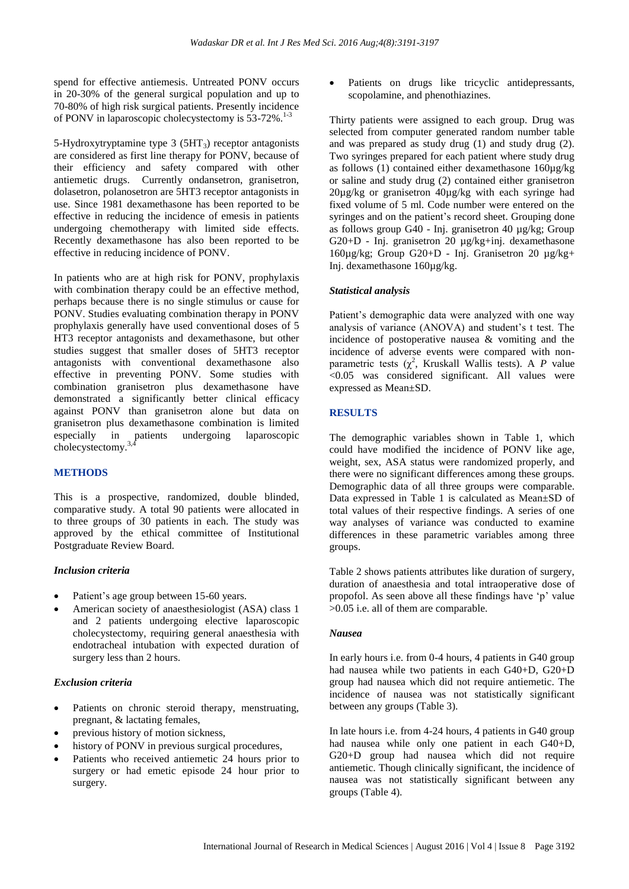spend for effective antiemesis. Untreated PONV occurs in 20-30% of the general surgical population and up to 70-80% of high risk surgical patients. Presently incidence of PONV in laparoscopic cholecystectomy is 53-72%.<sup>1-3</sup>

5-Hydroxytryptamine type  $3$  (5HT<sub>3</sub>) receptor antagonists are considered as first line therapy for PONV, because of their efficiency and safety compared with other antiemetic drugs. Currently ondansetron, granisetron, dolasetron, polanosetron are 5HT3 receptor antagonists in use. Since 1981 dexamethasone has been reported to be effective in reducing the incidence of emesis in patients undergoing chemotherapy with limited side effects. Recently dexamethasone has also been reported to be effective in reducing incidence of PONV.

In patients who are at high risk for PONV, prophylaxis with combination therapy could be an effective method, perhaps because there is no single stimulus or cause for PONV. Studies evaluating combination therapy in PONV prophylaxis generally have used conventional doses of 5 HT3 receptor antagonists and dexamethasone, but other studies suggest that smaller doses of 5HT3 receptor antagonists with conventional dexamethasone also effective in preventing PONV. Some studies with combination granisetron plus dexamethasone have demonstrated a significantly better clinical efficacy against PONV than granisetron alone but data on granisetron plus dexamethasone combination is limited especially in patients undergoing laparoscopic cholecystectomy.3,4

# **METHODS**

This is a prospective, randomized, double blinded, comparative study. A total 90 patients were allocated in to three groups of 30 patients in each. The study was approved by the ethical committee of Institutional Postgraduate Review Board.

#### *Inclusion criteria*

- Patient's age group between 15-60 years.
- American society of anaesthesiologist (ASA) class 1 and 2 patients undergoing elective laparoscopic cholecystectomy, requiring general anaesthesia with endotracheal intubation with expected duration of surgery less than 2 hours.

#### *Exclusion criteria*

- Patients on chronic steroid therapy, menstruating, pregnant, & lactating females,
- previous history of motion sickness,
- history of PONV in previous surgical procedures,
- Patients who received antiemetic 24 hours prior to surgery or had emetic episode 24 hour prior to surgery.

 Patients on drugs like tricyclic antidepressants, scopolamine, and phenothiazines.

Thirty patients were assigned to each group. Drug was selected from computer generated random number table and was prepared as study drug (1) and study drug (2). Two syringes prepared for each patient where study drug as follows (1) contained either dexamethasone 160µg/kg or saline and study drug (2) contained either granisetron 20µg/kg or granisetron 40µg/kg with each syringe had fixed volume of 5 ml. Code number were entered on the syringes and on the patient's record sheet. Grouping done as follows group G40 - Inj. granisetron 40 µg/kg; Group G20+D - Inj. granisetron 20 µg/kg+inj. dexamethasone 160µg/kg; Group G20+D - Inj. Granisetron 20 µg/kg+ Inj. dexamethasone 160µg/kg.

#### *Statistical analysis*

Patient's demographic data were analyzed with one way analysis of variance (ANOVA) and student's t test. The incidence of postoperative nausea & vomiting and the incidence of adverse events were compared with nonparametric tests  $(\chi^2)$ , Kruskall Wallis tests). A *P* value <0.05 was considered significant. All values were expressed as Mean±SD.

#### **RESULTS**

The demographic variables shown in Table 1, which could have modified the incidence of PONV like age, weight, sex, ASA status were randomized properly, and there were no significant differences among these groups. Demographic data of all three groups were comparable. Data expressed in Table 1 is calculated as Mean±SD of total values of their respective findings. A series of one way analyses of variance was conducted to examine differences in these parametric variables among three groups.

Table 2 shows patients attributes like duration of surgery, duration of anaesthesia and total intraoperative dose of propofol. As seen above all these findings have 'p' value >0.05 i.e. all of them are comparable.

#### *Nausea*

In early hours i.e. from 0-4 hours, 4 patients in G40 group had nausea while two patients in each G40+D, G20+D group had nausea which did not require antiemetic. The incidence of nausea was not statistically significant between any groups (Table 3).

In late hours i.e. from 4-24 hours, 4 patients in G40 group had nausea while only one patient in each G40+D, G20+D group had nausea which did not require antiemetic. Though clinically significant, the incidence of nausea was not statistically significant between any groups (Table 4).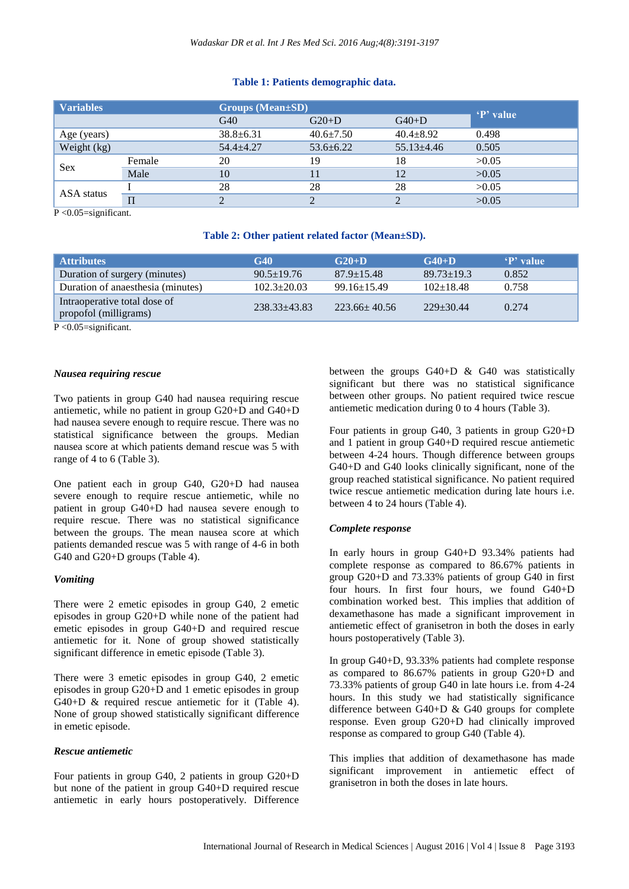# **Table 1: Patients demographic data.**

| <b>Variables</b> |        | <b>Groups (Mean±SD)</b> |                 |                |           |
|------------------|--------|-------------------------|-----------------|----------------|-----------|
|                  |        | G40                     | $G20+D$         | $G40+D$        | 'P' value |
| Age (years)      |        | $38.8 \pm 6.31$         | $40.6 \pm 7.50$ | $40.4 + 8.92$  | 0.498     |
| Weight (kg)      |        | $54.4 + 4.27$           | $53.6 + 6.22$   | $55.13 + 4.46$ | 0.505     |
| <b>Sex</b>       | Female | 20                      | 19              | 18             | >0.05     |
|                  | Male   | 10                      |                 | 12             | >0.05     |
| ASA status       |        | 28                      | 28              | 28             | >0.05     |
|                  |        |                         |                 |                | >0.05     |

 $\overline{P}$  <0.05=significant.

# **Table 2: Other patient related factor (Mean±SD).**

| <b>Attributes</b>                                     | G40               | $G20+D$            | $G40+D$        | 'P' value |
|-------------------------------------------------------|-------------------|--------------------|----------------|-----------|
| Duration of surgery (minutes)                         | $90.5 + 19.76$    | $87.9 + 15.48$     | $89.73 + 19.3$ | 0.852     |
| Duration of anaesthesia (minutes)                     | $102.3 \pm 20.03$ | $99.16 + 15.49$    | $102+18.48$    | 0.758     |
| Intraoperative total dose of<br>propofol (milligrams) | $238.33 + 43.83$  | $223.66 \pm 40.56$ | $229+30.44$    | 0.274     |

P <0.05=significant.

# *Nausea requiring rescue*

Two patients in group G40 had nausea requiring rescue antiemetic, while no patient in group G20+D and G40+D had nausea severe enough to require rescue. There was no statistical significance between the groups. Median nausea score at which patients demand rescue was 5 with range of 4 to 6 (Table 3).

One patient each in group G40, G20+D had nausea severe enough to require rescue antiemetic, while no patient in group G40+D had nausea severe enough to require rescue. There was no statistical significance between the groups. The mean nausea score at which patients demanded rescue was 5 with range of 4-6 in both G40 and G20+D groups (Table 4).

# *Vomiting*

There were 2 emetic episodes in group G40, 2 emetic episodes in group G20+D while none of the patient had emetic episodes in group G40+D and required rescue antiemetic for it. None of group showed statistically significant difference in emetic episode (Table 3).

There were 3 emetic episodes in group G40, 2 emetic episodes in group G20+D and 1 emetic episodes in group G40+D & required rescue antiemetic for it (Table 4). None of group showed statistically significant difference in emetic episode.

# *Rescue antiemetic*

Four patients in group G40, 2 patients in group G20+D but none of the patient in group G40+D required rescue antiemetic in early hours postoperatively. Difference

between the groups G40+D & G40 was statistically significant but there was no statistical significance between other groups. No patient required twice rescue antiemetic medication during 0 to 4 hours (Table 3).

Four patients in group G40, 3 patients in group G20+D and 1 patient in group G40+D required rescue antiemetic between 4-24 hours. Though difference between groups G40+D and G40 looks clinically significant, none of the group reached statistical significance. No patient required twice rescue antiemetic medication during late hours i.e. between 4 to 24 hours (Table 4).

# *Complete response*

In early hours in group G40+D 93.34% patients had complete response as compared to 86.67% patients in group G20+D and 73.33% patients of group G40 in first four hours. In first four hours, we found G40+D combination worked best. This implies that addition of dexamethasone has made a significant improvement in antiemetic effect of granisetron in both the doses in early hours postoperatively (Table 3).

In group G40+D, 93.33% patients had complete response as compared to 86.67% patients in group G20+D and 73.33% patients of group G40 in late hours i.e. from 4-24 hours. In this study we had statistically significance difference between G40+D & G40 groups for complete response. Even group G20+D had clinically improved response as compared to group G40 (Table 4).

This implies that addition of dexamethasone has made significant improvement in antiemetic effect of granisetron in both the doses in late hours.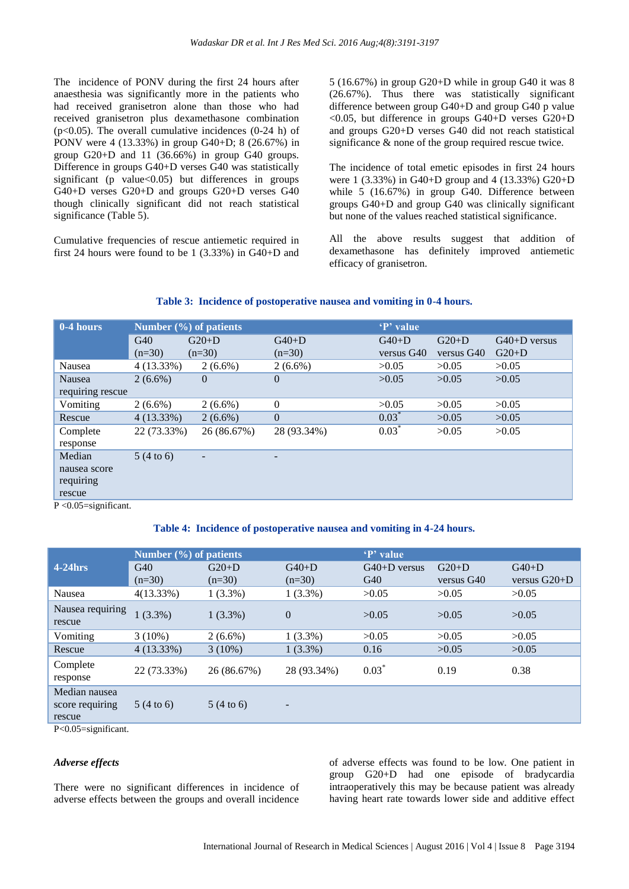The incidence of PONV during the first 24 hours after anaesthesia was significantly more in the patients who had received granisetron alone than those who had received granisetron plus dexamethasone combination ( $p<0.05$ ). The overall cumulative incidences (0-24 h) of PONV were 4 (13.33%) in group G40+D; 8 (26.67%) in group G20+D and 11 (36.66%) in group G40 groups. Difference in groups G40+D verses G40 was statistically significant (p value< $0.05$ ) but differences in groups G40+D verses G20+D and groups G20+D verses G40 though clinically significant did not reach statistical significance (Table 5).

Cumulative frequencies of rescue antiemetic required in first 24 hours were found to be 1 (3.33%) in G40+D and 5 (16.67%) in group G20+D while in group G40 it was 8 (26.67%). Thus there was statistically significant difference between group G40+D and group G40 p value <0.05, but difference in groups G40+D verses G20+D and groups G20+D verses G40 did not reach statistical significance & none of the group required rescue twice.

The incidence of total emetic episodes in first 24 hours were 1 (3.33%) in G40+D group and 4 (13.33%) G20+D while 5 (16.67%) in group G40. Difference between groups G40+D and group G40 was clinically significant but none of the values reached statistical significance.

All the above results suggest that addition of dexamethasone has definitely improved antiemetic efficacy of granisetron.

#### **Table 3: Incidence of postoperative nausea and vomiting in 0-4 hours.**

| 0-4 hours                   | Number $(\%)$ of patients |             |              | 'P' value  |            |                |
|-----------------------------|---------------------------|-------------|--------------|------------|------------|----------------|
|                             | G40                       | $G20+D$     | $G40+D$      | $G40+D$    | $G20+D$    | $G40+D$ versus |
|                             | $(n=30)$                  | $(n=30)$    | $(n=30)$     | versus G40 | versus G40 | $G20+D$        |
| Nausea                      | $4(13.33\%)$              | $2(6.6\%)$  | $2(6.6\%)$   | >0.05      | >0.05      | >0.05          |
| Nausea                      | $2(6.6\%)$                | $\theta$    | $\mathbf{0}$ | >0.05      | >0.05      | >0.05          |
| requiring rescue            |                           |             |              |            |            |                |
| Vomiting                    | $2(6.6\%)$                | $2(6.6\%)$  | $\mathbf{0}$ | >0.05      | >0.05      | >0.05          |
| Rescue                      | $4(13.33\%)$              | $2(6.6\%)$  | $\mathbf{0}$ | $0.03^*$   | >0.05      | >0.05          |
| Complete                    | 22 (73.33%)               | 26 (86.67%) | 28 (93.34%)  | $0.03*$    | >0.05      | >0.05          |
| response                    |                           |             |              |            |            |                |
| Median                      | $5(4 \text{ to } 6)$      |             |              |            |            |                |
| nausea score                |                           |             |              |            |            |                |
| requiring                   |                           |             |              |            |            |                |
| rescue                      |                           |             |              |            |            |                |
| $P \leq 0.05$ =significant. |                           |             |              |            |            |                |

#### **Table 4: Incidence of postoperative nausea and vomiting in 4-24 hours.**

|                                            | Number $(\% )$ of patients |                     |                          | 'P' value             |                       |                           |
|--------------------------------------------|----------------------------|---------------------|--------------------------|-----------------------|-----------------------|---------------------------|
| $4-24$ hrs                                 | G40<br>$(n=30)$            | $G20+D$<br>$(n=30)$ | $G40+D$<br>$(n=30)$      | $G40+D$ versus<br>G40 | $G20+D$<br>versus G40 | $G40+D$<br>versus $G20+D$ |
| Nausea                                     | $4(13.33\%)$               | $1(3.3\%)$          | $1(3.3\%)$               | >0.05                 | >0.05                 | >0.05                     |
| Nausea requiring<br>rescue                 | $1(3.3\%)$                 | $1(3.3\%)$          | $\overline{0}$           | >0.05                 | >0.05                 | >0.05                     |
| Vomiting                                   | $3(10\%)$                  | $2(6.6\%)$          | $1(3.3\%)$               | >0.05                 | >0.05                 | >0.05                     |
| Rescue                                     | $4(13.33\%)$               | $3(10\%)$           | $1(3.3\%)$               | 0.16                  | >0.05                 | >0.05                     |
| Complete<br>response                       | 22 (73.33%)                | 26 (86.67%)         | 28 (93.34%)              | $0.03*$               | 0.19                  | 0.38                      |
| Median nausea<br>score requiring<br>rescue | 5(4 to 6)                  | 5(4 to 6)           | $\overline{\phantom{a}}$ |                       |                       |                           |

P<0.05=significant.

#### *Adverse effects*

There were no significant differences in incidence of adverse effects between the groups and overall incidence of adverse effects was found to be low. One patient in group G20+D had one episode of bradycardia intraoperatively this may be because patient was already having heart rate towards lower side and additive effect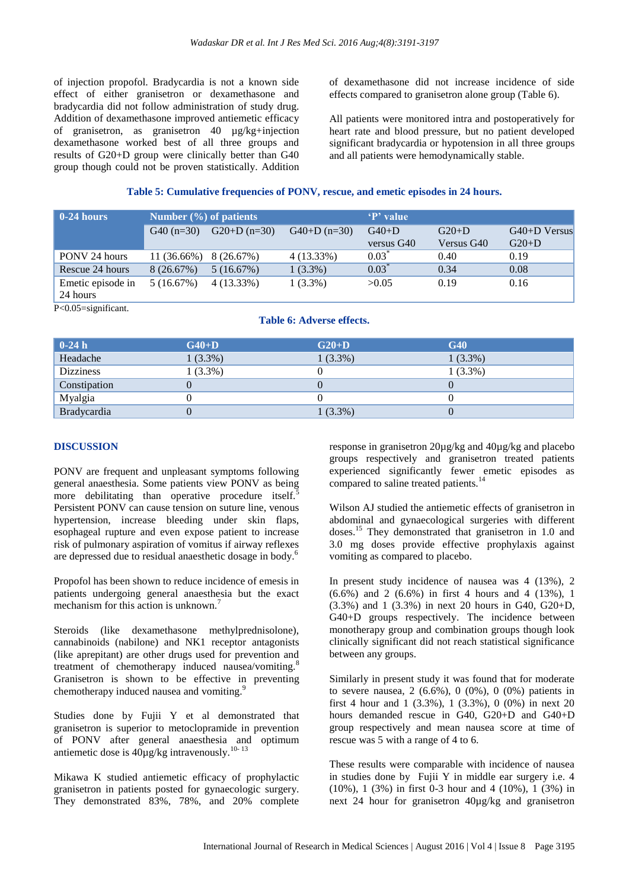of injection propofol. Bradycardia is not a known side effect of either granisetron or dexamethasone and bradycardia did not follow administration of study drug. Addition of dexamethasone improved antiemetic efficacy of granisetron, as granisetron 40 µg/kg+injection dexamethasone worked best of all three groups and results of G20+D group were clinically better than G40 group though could not be proven statistically. Addition of dexamethasone did not increase incidence of side effects compared to granisetron alone group (Table 6).

All patients were monitored intra and postoperatively for heart rate and blood pressure, but no patient developed significant bradycardia or hypotension in all three groups and all patients were hemodynamically stable.

#### **Table 5: Cumulative frequencies of PONV, rescue, and emetic episodes in 24 hours.**

| $\vert$ 0-24 hours            | Number $(\% )$ of patients |               |               | 'P' value  |            |                |
|-------------------------------|----------------------------|---------------|---------------|------------|------------|----------------|
|                               | $G40(n=30)$                | $G20+D(n=30)$ | $G40+D(n=30)$ | $G40+D$    | $G20+D$    | $G40+D$ Versus |
|                               |                            |               |               | versus G40 | Versus G40 | $G20+D$        |
| PONV 24 hours                 | $11(36.66\%)$              | 8 (26.67%)    | $4(13.33\%)$  | $0.03^*$   | 0.40       | 0.19           |
| Rescue 24 hours               | 8(26.67%)                  | 5(16.67%)     | $1(3.3\%)$    | $0.03*$    | 0.34       | 0.08           |
| Emetic episode in<br>24 hours | 5(16.67%)                  | $4(13.33\%)$  | $1(3.3\%)$    | >0.05      | 0.19       | 0.16           |

P<0.05=significant.

# **Table 6: Adverse effects.**

| $\vert$ 0-24 h | $G40+D$    | $G20+D$    | G40        |
|----------------|------------|------------|------------|
| Headache       | $1(3.3\%)$ | $1(3.3\%)$ | $1(3.3\%)$ |
| Dizziness      | $(3.3\%)$  |            | $1(3.3\%)$ |
| Constipation   |            |            |            |
| Myalgia        |            |            |            |
| Bradycardia    |            | $1(3.3\%)$ |            |

#### **DISCUSSION**

PONV are frequent and unpleasant symptoms following general anaesthesia. Some patients view PONV as being more debilitating than operative procedure itself. Persistent PONV can cause tension on suture line, venous hypertension, increase bleeding under skin flaps, esophageal rupture and even expose patient to increase risk of pulmonary aspiration of vomitus if airway reflexes are depressed due to residual anaesthetic dosage in body.<sup>6</sup>

Propofol has been shown to reduce incidence of emesis in patients undergoing general anaesthesia but the exact mechanism for this action is unknown.<sup>7</sup>

Steroids (like dexamethasone methylprednisolone), cannabinoids (nabilone) and NK1 receptor antagonists (like aprepitant) are other drugs used for prevention and treatment of chemotherapy induced nausea/vomiting.<sup>8</sup> Granisetron is shown to be effective in preventing chemotherapy induced nausea and vomiting.<sup>9</sup>

Studies done by Fujii Y et al demonstrated that granisetron is superior to metoclopramide in prevention of PONV after general anaesthesia and optimum antiemetic dose is  $40\mu\text{g/kg}$  intravenously.<sup>10-13</sup>

Mikawa K studied antiemetic efficacy of prophylactic granisetron in patients posted for gynaecologic surgery. They demonstrated 83%, 78%, and 20% complete response in granisetron 20µg/kg and 40µg/kg and placebo groups respectively and granisetron treated patients experienced significantly fewer emetic episodes as compared to saline treated patients.<sup>14</sup>

Wilson AJ studied the antiemetic effects of granisetron in abdominal and gynaecological surgeries with different doses.<sup>15</sup> They demonstrated that granisetron in 1.0 and 3.0 mg doses provide effective prophylaxis against vomiting as compared to placebo.

In present study incidence of nausea was 4 (13%), 2 (6.6%) and 2 (6.6%) in first 4 hours and 4 (13%), 1 (3.3%) and 1 (3.3%) in next 20 hours in G40, G20+D, G40+D groups respectively. The incidence between monotherapy group and combination groups though look clinically significant did not reach statistical significance between any groups.

Similarly in present study it was found that for moderate to severe nausea, 2 (6.6%), 0 (0%), 0 (0%) patients in first 4 hour and 1 (3.3%), 1 (3.3%), 0 (0%) in next 20 hours demanded rescue in G40, G20+D and G40+D group respectively and mean nausea score at time of rescue was 5 with a range of 4 to 6.

These results were comparable with incidence of nausea in studies done by Fujii Y in middle ear surgery i.e. 4 (10%), 1 (3%) in first 0-3 hour and 4 (10%), 1 (3%) in next 24 hour for granisetron 40µg/kg and granisetron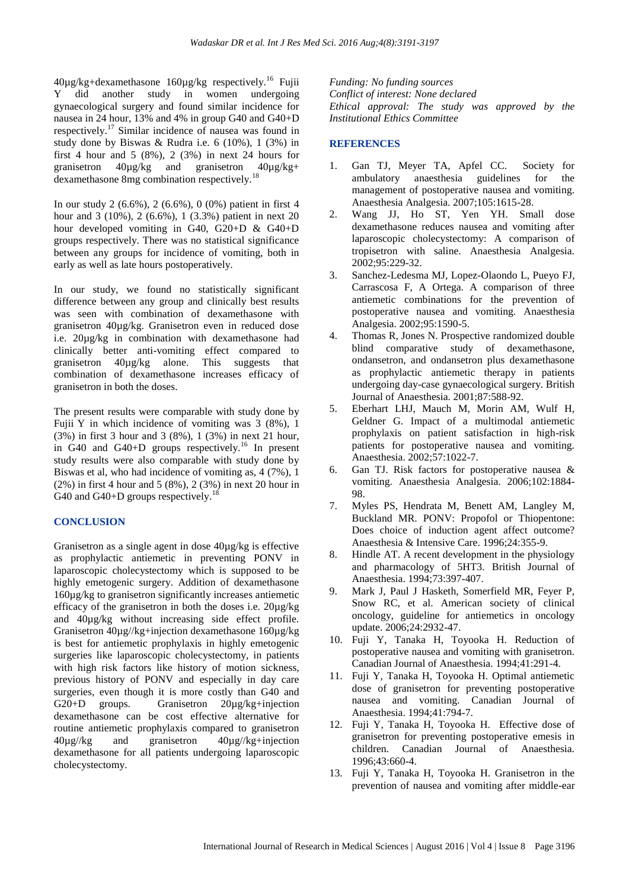$40\mu g/kg +$ dexamethasone  $160\mu g/kg$  respectively.<sup>16</sup> Fujii Y did another study in women undergoing gynaecological surgery and found similar incidence for nausea in 24 hour, 13% and 4% in group G40 and G40+D respectively.<sup>17</sup> Similar incidence of nausea was found in study done by Biswas & Rudra i.e.  $6(10\%)$ ,  $1(3\%)$  in first 4 hour and 5  $(8\%)$ , 2  $(3\%)$  in next 24 hours for granisetron 40µg/kg and granisetron 40µg/kg+ dexamethasone 8mg combination respectively.<sup>18</sup>

In our study 2 (6.6%), 2 (6.6%), 0 (0%) patient in first 4 hour and 3 (10%), 2 (6.6%), 1 (3.3%) patient in next 20 hour developed vomiting in G40, G20+D & G40+D groups respectively. There was no statistical significance between any groups for incidence of vomiting, both in early as well as late hours postoperatively.

In our study, we found no statistically significant difference between any group and clinically best results was seen with combination of dexamethasone with granisetron 40µg/kg. Granisetron even in reduced dose i.e. 20µg/kg in combination with dexamethasone had clinically better anti-vomiting effect compared to granisetron 40µg/kg alone. This suggests that combination of dexamethasone increases efficacy of granisetron in both the doses.

The present results were comparable with study done by Fujii Y in which incidence of vomiting was 3 (8%), 1 (3%) in first 3 hour and 3 (8%), 1 (3%) in next 21 hour, in G40 and G40+D groups respectively.<sup>16</sup> In present study results were also comparable with study done by Biswas et al, who had incidence of vomiting as, 4 (7%), 1 (2%) in first 4 hour and 5 (8%), 2 (3%) in next 20 hour in G40 and G40+D groups respectively.<sup>18</sup>

# **CONCLUSION**

Granisetron as a single agent in dose 40µg/kg is effective as prophylactic antiemetic in preventing PONV in laparoscopic cholecystectomy which is supposed to be highly emetogenic surgery. Addition of dexamethasone 160µg/kg to granisetron significantly increases antiemetic efficacy of the granisetron in both the doses i.e. 20µg/kg and 40µg/kg without increasing side effect profile. Granisetron 40µg//kg+injection dexamethasone 160µg/kg is best for antiemetic prophylaxis in highly emetogenic surgeries like laparoscopic cholecystectomy, in patients with high risk factors like history of motion sickness, previous history of PONV and especially in day care surgeries, even though it is more costly than G40 and G20+D groups. Granisetron 20µg/kg+injection dexamethasone can be cost effective alternative for routine antiemetic prophylaxis compared to granisetron  $40\mu\text{g}/\text{kg}$  and granisetron  $40\mu\text{g}/\text{kg}$ +injection dexamethasone for all patients undergoing laparoscopic cholecystectomy.

*Funding: No funding sources Conflict of interest: None declared Ethical approval: The study was approved by the Institutional Ethics Committee*

# **REFERENCES**

- 1. Gan TJ, Meyer TA, Apfel CC. Society for ambulatory anaesthesia guidelines for the management of postoperative nausea and vomiting. Anaesthesia Analgesia. 2007;105:1615-28.
- 2. Wang JJ, Ho ST, Yen YH. Small dose dexamethasone reduces nausea and vomiting after laparoscopic cholecystectomy: A comparison of tropisetron with saline. Anaesthesia Analgesia. 2002;95:229-32.
- 3. Sanchez-Ledesma MJ, Lopez-Olaondo L, Pueyo FJ, Carrascosa F, A Ortega. A comparison of three antiemetic combinations for the prevention of postoperative nausea and vomiting. Anaesthesia Analgesia. 2002;95:1590-5.
- 4. Thomas R, Jones N. Prospective randomized double blind comparative study of dexamethasone, ondansetron, and ondansetron plus dexamethasone as prophylactic antiemetic therapy in patients undergoing day-case gynaecological surgery. British Journal of Anaesthesia. 2001;87:588-92.
- 5. Eberhart LHJ, Mauch M, Morin AM, Wulf H, Geldner G. Impact of a multimodal antiemetic prophylaxis on patient satisfaction in high-risk patients for postoperative nausea and vomiting. Anaesthesia. 2002;57:1022-7.
- 6. Gan TJ. Risk factors for postoperative nausea & vomiting. Anaesthesia Analgesia. 2006;102:1884- 98.
- 7. Myles PS, Hendrata M, Benett AM, Langley M, Buckland MR. PONV: Propofol or Thiopentone: Does choice of induction agent affect outcome? Anaesthesia & Intensive Care. 1996;24:355-9.
- 8. Hindle AT. A recent development in the physiology and pharmacology of 5HT3. British Journal of Anaesthesia. 1994;73:397-407.
- 9. Mark J, Paul J Hasketh, Somerfield MR, Feyer P, Snow RC, et al. American society of clinical oncology, guideline for antiemetics in oncology update. 2006;24:2932-47.
- 10. Fuji Y, Tanaka H, Toyooka H. Reduction of postoperative nausea and vomiting with granisetron. Canadian Journal of Anaesthesia. 1994;41:291-4.
- 11. Fuji Y, Tanaka H, Toyooka H. Optimal antiemetic dose of granisetron for preventing postoperative nausea and vomiting. Canadian Journal of Anaesthesia. 1994;41:794-7.
- 12. Fuji Y, Tanaka H, Toyooka H. Effective dose of granisetron for preventing postoperative emesis in children. Canadian Journal of Anaesthesia. 1996;43:660-4.
- 13. Fuji Y, Tanaka H, Toyooka H. Granisetron in the prevention of nausea and vomiting after middle-ear